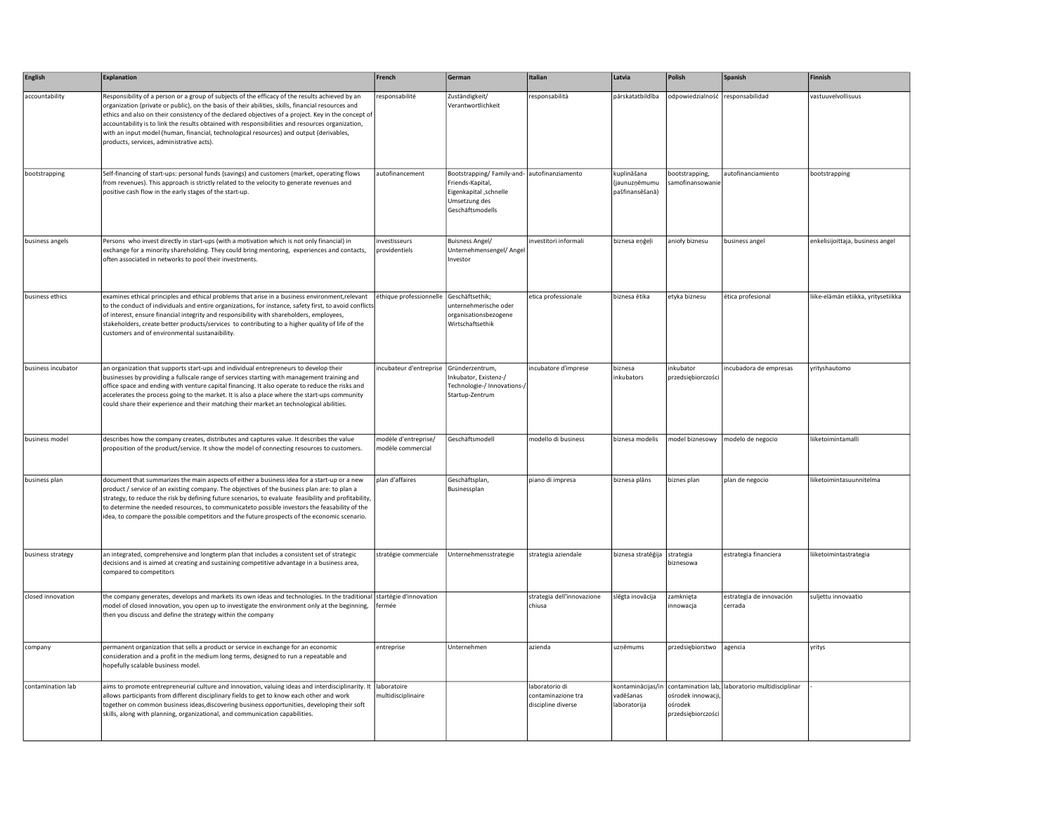| English            | Explanation                                                                                                                                                                                                                                                                                                                                                                                                                                                                                                                                              | French                                    | German                                                                                                        | Italian                                                    | Latvia                                          | Polish                                              | Spanish                                         | Finnish                             |
|--------------------|----------------------------------------------------------------------------------------------------------------------------------------------------------------------------------------------------------------------------------------------------------------------------------------------------------------------------------------------------------------------------------------------------------------------------------------------------------------------------------------------------------------------------------------------------------|-------------------------------------------|---------------------------------------------------------------------------------------------------------------|------------------------------------------------------------|-------------------------------------------------|-----------------------------------------------------|-------------------------------------------------|-------------------------------------|
| accountability     | Responsibility of a person or a group of subjects of the efficacy of the results achieved by an<br>organization (private or public), on the basis of their abilities, skills, financial resources and<br>ethics and also on their consistency of the declared objectives of a project. Key in the concept of<br>accountability is to link the results obtained with responsibilities and resources organization,<br>with an input model (human, financial, technological resources) and output (derivables,<br>products, services, administrative acts). | responsabilité                            | Zuständigkeit/<br>Verantwortlichkeit                                                                          | esponsabilità                                              | pārskatatbildība                                | odpowiedzialność responsabilidad                    |                                                 | vastuuvelvollisuus                  |
| bootstrapping      | Self-financing of start-ups: personal funds (savings) and customers (market, operating flows<br>from revenues). This approach is strictly related to the velocity to generate revenues and<br>positive cash flow in the early stages of the start-up.                                                                                                                                                                                                                                                                                                    | autofinancement                           | Bootstrapping/Family-and-<br>Friends-Kapital,<br>Eigenkapital , schnelle<br>Umsetzung des<br>Geschäftsmodells | autofinanziamento                                          | kuplināšana<br>(jaunuznēmumu<br>pašfinansēšanā) | bootstrapping,<br>samofinansowani                   | autofinanciamiento                              | bootstrapping                       |
| business angels    | Persons who invest directly in start-ups (with a motivation which is not only financial) in<br>exchange for a minority shareholding. They could bring mentoring, experiences and contacts,<br>often associated in networks to pool their investments.                                                                                                                                                                                                                                                                                                    | investisseurs<br>providentiels            | <b>Buisness Angel/</b><br>Unternehmensengel/ Angel<br>Investor                                                | nvestitori informali                                       | biznesa eņģeļi                                  | anioły biznesu                                      | business angel                                  | enkelisijoittaja, business angel    |
| business ethics    | examines ethical principles and ethical problems that arise in a business environment, relevant<br>to the conduct of individuals and entire organizations, for instance, safety first, to avoid conflicts<br>of interest, ensure financial integrity and responsibility with shareholders, employees,<br>stakeholders, create better products/services to contributing to a higher quality of life of the<br>customers and of environmental sustanaibility.                                                                                              | éthique professionnelle Geschäftsethik;   | unternehmerische oder<br>organisationsbezogene<br>Wirtschaftsethik                                            | etica professionale                                        | biznesa ētika                                   | etyka biznesu                                       | ética profesional                               | liike-elämän etiikka, yritysetiikka |
| business incubator | an organization that supports start-ups and individual entrepreneurs to develop their<br>businesses by providing a fullscale range of services starting with management training and<br>office space and ending with venture capital financing. It also operate to reduce the risks and<br>accelerates the process going to the market. It is also a place where the start-ups community<br>could share their experience and their matching their market an technological abilities.                                                                     | incubateur d'entreprise Gründerzentrum,   | nkubator, Existenz-/<br>Technologie-/ Innovations-/<br>Startup-Zentrum                                        | incubatore d'imprese                                       | biznesa<br>inkubators                           | inkubator<br>przedsiębiorczości                     | incubadora de empresas                          | yrityshautomo                       |
| business model     | describes how the company creates, distributes and captures value. It describes the value<br>proposition of the product/service. It show the model of connecting resources to customers.                                                                                                                                                                                                                                                                                                                                                                 | modèle d'entreprise/<br>nodèle commercial | Geschäftsmodell                                                                                               | modello di business                                        | biznesa modelis                                 |                                                     | model biznesowy   modelo de negocio             | liiketoimintamalli                  |
| business plan      | document that summarizes the main aspects of either a business idea for a start-up or a new<br>product / service of an existing company. The objectives of the business plan are: to plan a<br>strategy, to reduce the risk by defining future scenarios, to evaluate feasibility and profitability,<br>to determine the needed resources, to communicateto possible investors the feasability of the<br>idea, to compare the possible competitors and the future prospects of the economic scenario.                                                    | plan d'affaires                           | Geschäftsplan,<br>Businessplan                                                                                | piano di impresa                                           | biznesa plāns                                   | biznes plan                                         | plan de negocio                                 | liiketoimintasuunnitelma            |
| business strategy  | an integrated, comprehensive and longterm plan that includes a consistent set of strategic<br>decisions and is aimed at creating and sustaining competitive advantage in a business area,<br>compared to competitors                                                                                                                                                                                                                                                                                                                                     | stratégie commerciale                     | Unternehmensstrategie                                                                                         | strategia aziendale                                        | biznesa stratēģija                              | strategia<br>biznesowa                              | estrategia financiera                           | liiketoimintastrategia              |
| closed innovation  | the company generates, develops and markets its own ideas and technologies. In the traditional startégie d'innovation<br>model of closed innovation, you open up to investigate the environment only at the beginning,<br>then you discuss and define the strategy within the company                                                                                                                                                                                                                                                                    | fermée                                    |                                                                                                               | strategia dell'innovazione<br>chiusa                       | slēgta inovācija                                | zamknięta<br>innowacja                              | estrategia de innovación<br>cerrada             | suljettu innovaatio                 |
| company            | permanent organization that sells a product or service in exchange for an economic<br>consideration and a profit in the medium long terms, designed to run a repeatable and<br>hopefully scalable business model.                                                                                                                                                                                                                                                                                                                                        | entreprise                                | Unternehmen                                                                                                   | azienda                                                    | uzņēmums                                        | przedsiębiorstwo                                    | agencia                                         | yritys                              |
| contamination lab  | aims to promote entrepreneurial culture and innovation, valuing ideas and interdisciplinarity. It<br>allows participants from different disciplinary fields to get to know each other and work<br>together on common business ideas, discovering business opportunities, developing their soft<br>skills, along with planning, organizational, and communication capabilities.                                                                                                                                                                           | laboratoire<br>multidisciplinaire         |                                                                                                               | laboratorio di<br>contaminazione tra<br>discipline diverse | kontaminācijas/in<br>vadēšanas<br>laboratorija  | ośrodek innowacji,<br>ośrodek<br>przedsiębiorczości | contamination lab, laboratorio multidisciplinar |                                     |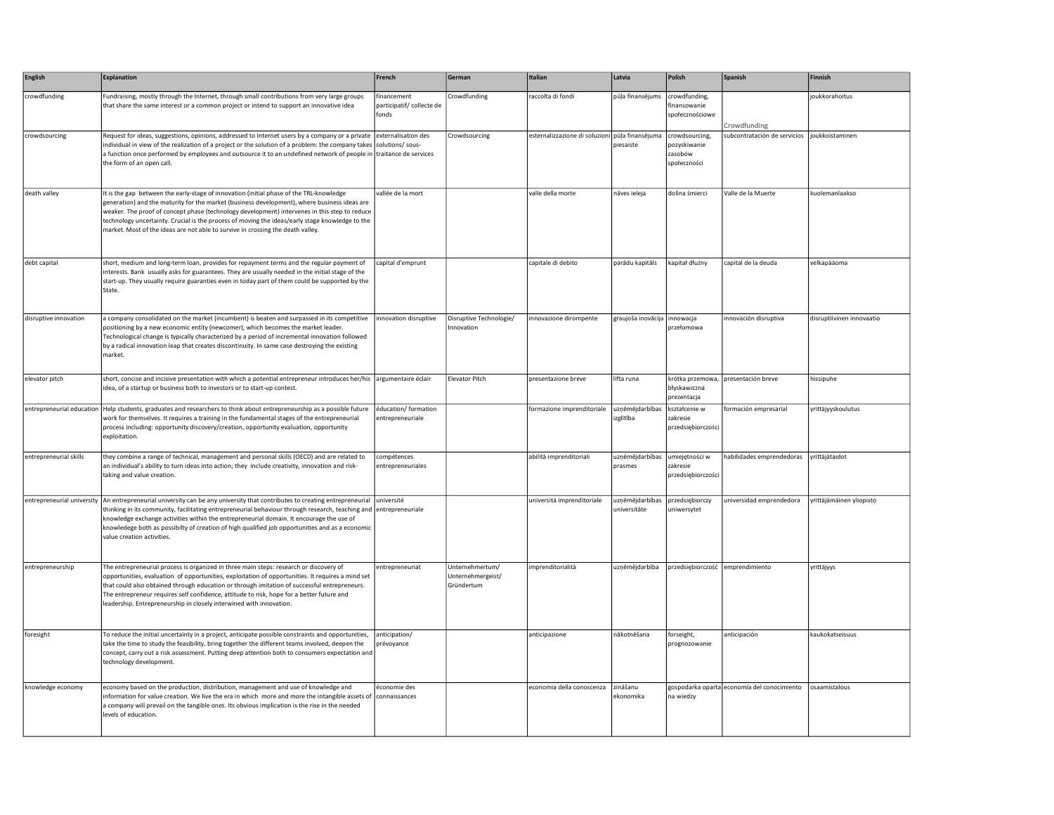| <b>English</b>             | <b>Explanation</b>                                                                                                                                                                                                                                                                                                                                                                                                                                                             | French                                            | German                                             | Italian                                         | Latvia                          | Polish                                                    | Spanish                                     | Finnish                   |
|----------------------------|--------------------------------------------------------------------------------------------------------------------------------------------------------------------------------------------------------------------------------------------------------------------------------------------------------------------------------------------------------------------------------------------------------------------------------------------------------------------------------|---------------------------------------------------|----------------------------------------------------|-------------------------------------------------|---------------------------------|-----------------------------------------------------------|---------------------------------------------|---------------------------|
| crowdfunding               | Fundraising, mostly through the Internet, through small contributions from very large groups<br>that share the same interest or a common project or intend to support an innovative idea                                                                                                                                                                                                                                                                                       | financement<br>participatif/ collecte de<br>fonds | Crowdfunding                                       | raccolta di fondi                               | pūļa finansējums                | crowdfunding,<br>finansowanie<br>społecznościowe          | Crowdfunding                                | joukkorahoitus            |
| crowdsourcing              | Request for ideas, suggestions, opinions, addressed to Internet users by a company or a private externalisation des<br>individual in view of the realization of a project or the solution of a problem: the company takes solutions/ sous-<br>a function once performed by employees and outsource it to an undefined network of people in traitance de services<br>the form of an open call.                                                                                  |                                                   | Crowdsourcing                                      | esternalizzazione di soluzioni pūļa finansējuma | piesaiste                       | crowdsourcing,<br>pozyskiwanie<br>zasobów<br>społeczności | subcontratación de servicios                | joukkoistaminen           |
| death valley               | It is the gap between the early-stage of innovation (initial phase of the TRL-knowledge<br>generation) and the maturity for the market (business development), where business ideas are<br>weaker. The proof of concept phase (technology development) intervenes in this step to reduce<br>technology uncertainty. Crucial is the process of moving the ideas/early stage knowledge to the<br>market. Most of the ideas are not able to survive in crossing the death valley. | vallée de la mort                                 |                                                    | valle della morte                               | nāves ieleja                    | dolina śmierci                                            | Valle de la Muerte                          | kuolemanlaakso            |
| debt capital               | short, medium and long-term loan, provides for repayment terms and the regular payment of<br>interests. Bank usually asks for guarantees. They are usually needed in the initial stage of the<br>start-up. They usually require guaranties even in today part of them could be supported by the<br>State.                                                                                                                                                                      | capital d'emprunt                                 |                                                    | capitale di debito                              | parādu kapitāls                 | kapitał dłużny                                            | capital de la deuda                         | velkapääoma               |
| disruptive innovation      | a company consolidated on the market (incumbent) is beaten and surpassed in its competitive<br>positioning by a new economic entity (newcomer), which becomes the market leader.<br>Technological change is typically characterized by a period of incremental innovation followed<br>by a radical innovation leap that creates discontinuity. In same case destroying the existing<br>market.                                                                                 | innovation disruptive                             | Disruptive Technologie/<br>nnovation               | innovazione dirompente                          | graujoša inovācija              | innowacja<br>przełomowa                                   | innovación disruptiva                       | disruptiivinen innovaatio |
| elevator pitch             | short, concise and incisive presentation with which a potential entrepreneur introduces her/his argumentaire éclair<br>idea, of a startup or business both to investors or to start-up contest.                                                                                                                                                                                                                                                                                |                                                   | Elevator Pitch                                     | presentazione breve                             | lifta runa                      | błyskawiczna<br>prezentacja                               | krótka przemowa, presentación breve         | hissipuhe                 |
| entrepreneurial education  | Help students, graduates and researchers to think about entrepreneurship as a possible future<br>work for themselves. It requires a training in the fundamental stages of the entrepreneurial<br>process including: opportunity discovery/creation, opportunity evaluation, opportunity<br>exploitation.                                                                                                                                                                       | éducation/ formation<br>entrepreneuriale          |                                                    | formazione imprenditoriale                      | uznēmējdarbības<br>izglītība    | kształcenie w<br>zakresie<br>przedsiębiorczości           | formación empresarial                       | yrittäjyyskoulutus        |
| entrepreneurial skills     | they combine a range of technical, management and personal skills (OECD) and are related to<br>an individual's ability to turn ideas into action; they include creativity, innovation and risk-<br>taking and value creation.                                                                                                                                                                                                                                                  | compétences<br>entrepreneuriales                  |                                                    | abilità imprenditoriali                         | uzņēmējdarbības<br>prasmes      | umiejętności w<br>zakresie<br>przedsiębiorczości          | habilidades emprendedoras                   | yrittäjätaidot            |
| entrepreneurial university | An entrepreneurial university can be any university that contributes to creating entrepreneurial université<br>thinking in its community, facilitating entrepreneurial behaviour through research, teaching and entrepreneuriale<br>knowledge exchange activities within the entrepreneurial domain. It encourage the use of<br>knowledege both as possibilty of creation of high qualified job opportunities and as a economic<br>value creation activities.                  |                                                   |                                                    | università imprenditoriale                      | uzņēmējdarbības<br>universitäte | przedsiębiorczy<br>uniwersytet                            | universidad emprendedora                    | yrittäjämäinen yliopisto  |
| entrepreneurship           | The entrepreneurial process is organized in three main steps: research or discovery of<br>opportunities, evaluation of opportunities, exploitation of opportunities. It requires a mind set<br>that could also obtained through education or through imitation of successful entrepreneurs.<br>The entrepreneur requires self confidence, attitude to risk, hope for a better future and<br>leadership. Entrepreneurship in closely interwined with innovation.                | entrepreneuriat                                   | Unternehmertum/<br>Unternehmergeist/<br>Gründertum | imprenditorialità                               | uzņēmējdarbība                  | przedsiębiorczość emprendimiento                          |                                             | yrittäjyys                |
| foresight                  | To reduce the initial uncertainty in a project, anticipate possible constraints and opportunities,<br>take the time to study the feasibility, bring together the different teams involved, deepen the<br>concept, carry out a risk assessment. Putting deep attention both to consumers expectation and<br>technology development.                                                                                                                                             | anticipation/<br>prévoyance                       |                                                    | anticipazione                                   | nākotnēšana                     | forseight,<br>prognozowanie                               | anticipación                                | kaukokatseisuus           |
| knowledge economy          | economy based on the production, distribution, management and use of knowledge and<br>information for value creation. We live the era in which more and more the intangible assets of<br>a company will prevail on the tangible ones. Its obvious implication is the rise in the needed<br>levels of education.                                                                                                                                                                | économie des<br>connaissances                     |                                                    | economia della conoscenza                       | zināšanu<br>ekonomika           | na wiedzy                                                 | gospodarka oparta economía del conocimiento | osaamistalous             |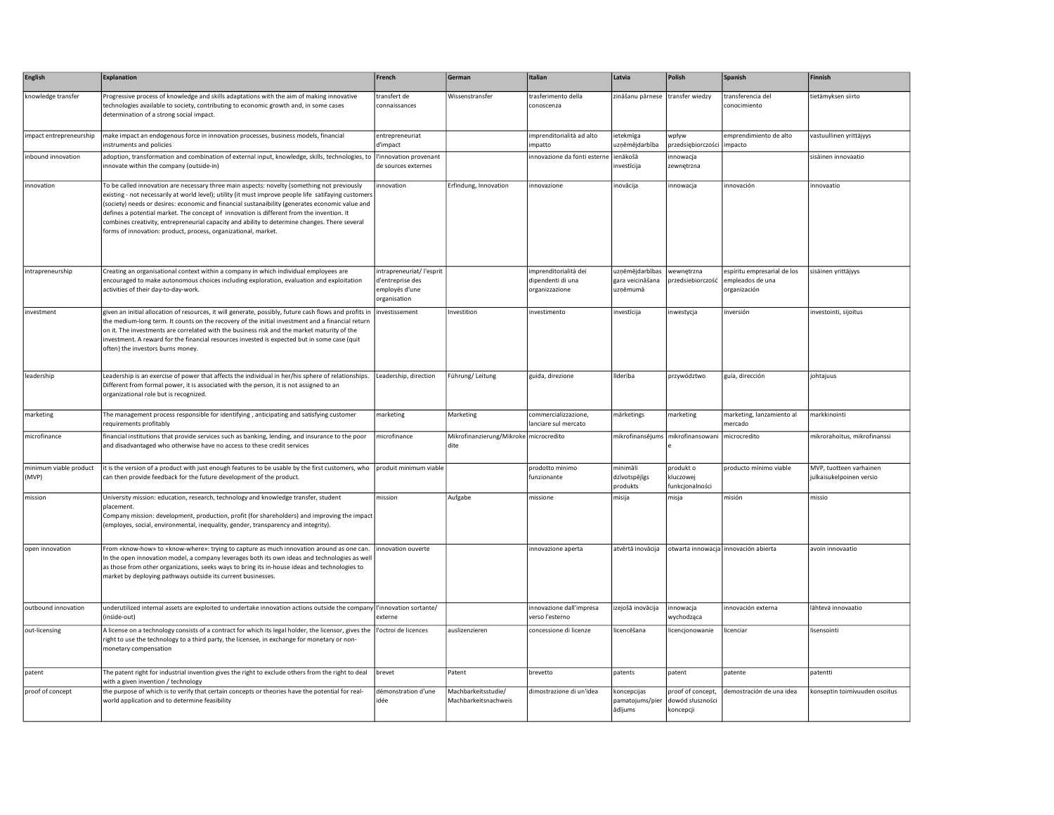| English                         | <b>Explanation</b>                                                                                                                                                                                                                                                                                                                                                                                                                                                                                                                                                      | French                                                                          | German                                         | Italian                                                      | Latvia                                          | Polish                                             | Spanish                                                         | Finnish                                             |
|---------------------------------|-------------------------------------------------------------------------------------------------------------------------------------------------------------------------------------------------------------------------------------------------------------------------------------------------------------------------------------------------------------------------------------------------------------------------------------------------------------------------------------------------------------------------------------------------------------------------|---------------------------------------------------------------------------------|------------------------------------------------|--------------------------------------------------------------|-------------------------------------------------|----------------------------------------------------|-----------------------------------------------------------------|-----------------------------------------------------|
| knowledge transfer              | Progressive process of knowledge and skills adaptations with the aim of making innovative<br>technologies available to society, contributing to economic growth and, in some cases<br>determination of a strong social impact.                                                                                                                                                                                                                                                                                                                                          | transfert de<br>connaissances                                                   | Wissenstransfer                                | trasferimento della<br>conoscenza                            | zināšanu pārnese transfer wiedzy                |                                                    | transferencia del<br>conocimiento                               | tietämyksen siirto                                  |
| impact entrepreneurship         | make impact an endogenous force in innovation processes, business models, financial<br>instruments and policies                                                                                                                                                                                                                                                                                                                                                                                                                                                         | entrepreneuriat<br>d'impact                                                     |                                                | imprenditorialità ad alto<br>impatto                         | ietekmīga<br>uzņēmējdarbība                     | wpływ<br>przedsiębiorczości                        | emprendimiento de alto<br>impacto                               | vastuullinen yrittäjyys                             |
| inbound innovation              | adoption, transformation and combination of external input, knowledge, skills, technologies, to<br>innovate within the company (outside-in)                                                                                                                                                                                                                                                                                                                                                                                                                             | l'innovation provenant<br>de sources externes                                   |                                                | innovazione da fonti esterne                                 | ienākošā<br>nvestīcija                          | innowacja<br>zewnętrzna                            |                                                                 | sisäinen innovaatio                                 |
| innovation                      | To be called innovation are necessary three main aspects: novelty (something not previously<br>existing - not necessarily at world level); utility (it must improve people life satifaying customers<br>(society) needs or desires: economic and financial sustanaibility (generates economic value and<br>defines a potential market. The concept of innovation is different from the invention. It<br>combines creativity, entrepreneurial capacity and ability to determine changes. There several<br>forms of innovation: product, process, organizational, market. | innovation                                                                      | Erfindung, Innovation                          | innovazione                                                  | inovācija                                       | innowacja                                          | innovación                                                      | innovaatio                                          |
| intrapreneurship                | Creating an organisational context within a company in which individual employees are<br>encouraged to make autonomous choices including exploration, evaluation and exploitation<br>activities of their day-to-day-work.                                                                                                                                                                                                                                                                                                                                               | intrapreneuriat/ l'esprit<br>d'entreprise des<br>employés d'une<br>organisation |                                                | imprenditorialità dei<br>dipendenti di una<br>organizzazione | uzņēmējdarbības<br>gara veicināšana<br>uznēmumā | wewnętrzna<br>przedsiebiorczość                    | espíritu empresarial de los<br>empleados de una<br>organización | sisäinen yrittäjyys                                 |
| investment                      | given an initial allocation of resources, it will generate, possibly, future cash flows and profits in<br>the medium-long term. It counts on the recovery of the initial investment and a financial return<br>on it. The investments are correlated with the business risk and the market maturity of the<br>investment. A reward for the financial resources invested is expected but in some case (quit<br>often) the investors burns money.                                                                                                                          | investissement                                                                  | Investition                                    | investimento                                                 | investīcija                                     | inwestycja                                         | inversión                                                       | investointi, sijoitus                               |
| leadership                      | Leadership is an exercise of power that affects the individual in her/his sphere of relationships.<br>Different from formal power, it is associated with the person, it is not assigned to an<br>organizational role but is recognized.                                                                                                                                                                                                                                                                                                                                 | Leadership, direction                                                           | Führung/Leitung                                | guida, direzione                                             | līderība                                        | przywództwo                                        | guía, dirección                                                 | johtajuus                                           |
| marketing                       | The management process responsible for identifying, anticipating and satisfying customer<br>requirements profitably                                                                                                                                                                                                                                                                                                                                                                                                                                                     | marketing                                                                       | Marketing                                      | commercializzazione,<br>lanciare sul mercato                 | märketings                                      | marketing                                          | marketing, lanzamiento al<br>mercado                            | markkinointi                                        |
| microfinance                    | financial institutions that provide services such as banking, lending, and insurance to the poor<br>and disadvantaged who otherwise have no access to these credit services                                                                                                                                                                                                                                                                                                                                                                                             | microfinance                                                                    | Mikrofinanzierung/Mikroke microcredito<br>dite |                                                              | mikrofinansējums                                | mikrofinansowani                                   | microcredito                                                    | mikrorahoitus, mikrofinanssi                        |
| minimum viable product<br>(MVP) | it is the version of a product with just enough features to be usable by the first customers, who produit minimum viable<br>can then provide feedback for the future development of the product.                                                                                                                                                                                                                                                                                                                                                                        |                                                                                 |                                                | prodotto minimo<br>funzionante                               | minimāli<br>dzīvotspējīgs<br>produkts           | produkt o<br>kluczowej<br>funkcjonalności          | producto mínimo viable                                          | MVP, tuotteen varhainen<br>julkaisukelpoinen versio |
| mission                         | University mission: education, research, technology and knowledge transfer, student<br>placement.<br>Company mission: development, production, profit (for shareholders) and improving the impact<br>(employes, social, environmental, inequality, gender, transparency and integrity).                                                                                                                                                                                                                                                                                 | mission                                                                         | Aufgabe                                        | missione                                                     | misija                                          | misja                                              | misión                                                          | missio                                              |
| open innovation                 | From «know-how» to «know-where»: trying to capture as much innovation around as one can.<br>In the open innovation model, a company leverages both its own ideas and technologies as well<br>as those from other organizations, seeks ways to bring its in-house ideas and technologies to<br>market by deploying pathways outside its current businesses.                                                                                                                                                                                                              | innovation ouverte                                                              |                                                | innovazione aperta                                           | atvērtā inovācija                               |                                                    | otwarta innowacja innovación abierta                            | avoin innovaatio                                    |
| outbound innovation             | underutilized internal assets are exploited to undertake innovation actions outside the company   l'innovation sortante/<br>(inside-out)                                                                                                                                                                                                                                                                                                                                                                                                                                | externe                                                                         |                                                | innovazione dall'impresa<br>verso l'esterno                  | izejošā inovācija                               | innowacja<br>wychodząca                            | innovación externa                                              | lähtevä innovaatio                                  |
| out-licensing                   | A license on a technology consists of a contract for which its legal holder, the licensor, gives the<br>right to use the technology to a third party, the licensee, in exchange for monetary or non-<br>monetary compensation                                                                                                                                                                                                                                                                                                                                           | l'octroi de licences                                                            | auslizenzieren                                 | concessione di licenze                                       | licencēšana                                     | licencjonowanie                                    | licenciar                                                       | lisensointi                                         |
| patent                          | The patent right for industrial invention gives the right to exclude others from the right to deal<br>with a given invention / technology                                                                                                                                                                                                                                                                                                                                                                                                                               | brevet                                                                          | Patent                                         | brevetto                                                     | patents                                         | patent                                             | patente                                                         | patentti                                            |
| proof of concept                | the purpose of which is to verify that certain concepts or theories have the potential for real-<br>world application and to determine feasibility                                                                                                                                                                                                                                                                                                                                                                                                                      | démonstration d'une<br>idée                                                     | Machbarkeitsstudie/<br>Machbarkeitsnachweis    | dimostrazione di un'idea                                     | koncepcijas<br>pamatojums/pier<br>ādījums       | proof of concept,<br>dowód słuszności<br>koncepcji | demostración de una idea                                        | konseptin toimivuuden osoitus                       |